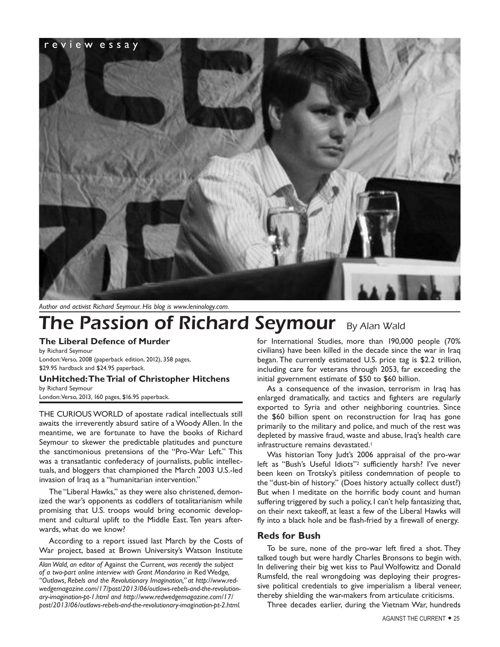

*Author and activist Richard Seymour. His blog is www.leninology.com.*

# **The Passion of Richard Seymour** By Alan Wald

**The Liberal Defence of Murder**

by Richard Seymour London: Verso, 2008 (paperback edition, 2012), 358 pages, \$29.95 hardback and \$24.95 paperback.

# **UnHitched: The Trial of Christopher Hitchens**

by Richard Seymour London: Verso, 2013, 160 pages, \$16.95 paperback.

THE CURIOUS WORLD of apostate radical intellectuals still awaits the irreverently absurd satire of a Woody Allen. In the meantime, we are fortunate to have the books of Richard Seymour to skewer the predictable platitudes and puncture the sanctimonious pretensions of the "Pro-War Left." This was a transatlantic confederacy of journalists, public intellectuals, and bloggers that championed the March 2003 U.S.-led invasion of Iraq as a "humanitarian intervention."

The "Liberal Hawks," as they were also christened, demonized the war's opponents as coddlers of totalitarianism while promising that U.S. troops would bring economic development and cultural uplift to the Middle East. Ten years afterwards, what do we know?

According to a report issued last March by the Costs of War project, based at Brown University's Watson Institute for International Studies, more than 190,000 people (70% civilians) have been killed in the decade since the war in Iraq began. The currently estimated U.S. price tag is \$2.2 trillion, including care for veterans through 2053, far exceeding the initial government estimate of \$50 to \$60 billion.

As a consequence of the invasion, terrorism in Iraq has enlarged dramatically, and tactics and fighters are regularly exported to Syria and other neighboring countries. Since the \$60 billion spent on reconstruction for Iraq has gone primarily to the military and police, and much of the rest was depleted by massive fraud, waste and abuse, Iraq's health care infrastructure remains devastated.<sup>1</sup>

Was historian Tony Judt's 2006 appraisal of the pro-war left as "Bush's Useful Idiots"2 sufficiently harsh? I've never been keen on Trotsky's pitiless condemnation of people to the "dust-bin of history." (Does history actually collect dust?) But when I meditate on the horrific body count and human suffering triggered by such a policy, I can't help fantasizing that, on their next takeoff, at least a few of the Liberal Hawks will fly into a black hole and be flash-fried by a firewall of energy.

### **Reds for Bush**

To be sure, none of the pro-war left fired a shot. They talked tough but were hardly Charles Bronsons to begin with. In delivering their big wet kiss to Paul Wolfowitz and Donald Rumsfeld, the real wrongdoing was deploying their progressive political credentials to give imperialism a liberal veneer, thereby shielding the war-makers from articulate criticisms.

Three decades earlier, during the Vietnam War, hundreds

*Alan Wald, an editor of* Against the Current*, was recently the subject of a two-part online interview with Grant Mandarino in* Red Wedge*, "Outlaws, Rebels and the Revolutionary Imagination," at http://www.redwedgemagazine.com/17/post/2013/06/outlaws-rebels-and-the-revolutionary-imagination-pt-1.html and http://www.redwedgemagazine.com/17/ post/2013/06/outlaws-rebels-and-the-revolutionary-imagination-pt-2.html.*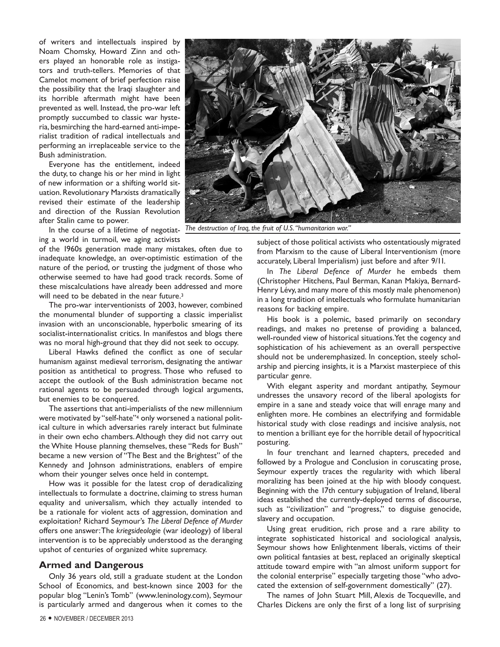of writers and intellectuals inspired by Noam Chomsky, Howard Zinn and others played an honorable role as instigators and truth-tellers. Memories of that Camelot moment of brief perfection raise the possibility that the Iraqi slaughter and its horrible aftermath might have been prevented as well. Instead, the pro-war left promptly succumbed to classic war hysteria, besmirching the hard-earned anti-imperialist tradition of radical intellectuals and performing an irreplaceable service to the Bush administration.

Everyone has the entitlement, indeed the duty, to change his or her mind in light of new information or a shifting world situation. Revolutionary Marxists dramatically revised their estimate of the leadership and direction of the Russian Revolution after Stalin came to power.

In the course of a lifetime of negotiat- The destruction of Iraq, the fruit of U.S. "humanitarian war." ing a world in turmoil, we aging activists

of the 1960s generation made many mistakes, often due to inadequate knowledge, an over-optimistic estimation of the nature of the period, or trusting the judgment of those who otherwise seemed to have had good track records. Some of these miscalculations have already been addressed and more will need to be debated in the near future.<sup>3</sup>

The pro-war interventionists of 2003, however, combined the monumental blunder of supporting a classic imperialist invasion with an unconscionable, hyperbolic smearing of its socialist-internationalist critics. In manifestos and blogs there was no moral high-ground that they did not seek to occupy.

Liberal Hawks defined the conflict as one of secular humanism against medieval terrorism, designating the antiwar position as antithetical to progress. Those who refused to accept the outlook of the Bush administration became not rational agents to be persuaded through logical arguments, but enemies to be conquered.

The assertions that anti-imperialists of the new millennium were motivated by "self-hate"<sup>4</sup> only worsened a national political culture in which adversaries rarely interact but fulminate in their own echo chambers. Although they did not carry out the White House planning themselves, these "Reds for Bush" became a new version of "The Best and the Brightest" of the Kennedy and Johnson administrations, enablers of empire whom their younger selves once held in contempt.

How was it possible for the latest crop of deradicalizing intellectuals to formulate a doctrine, claiming to stress human equality and universalism, which they actually intended to be a rationale for violent acts of aggression, domination and exploitation? Richard Seymour's *The Liberal Defence of Murder*  offers one answer: The *kriegsideologie* (war ideology) of liberal intervention is to be appreciably understood as the deranging upshot of centuries of organized white supremacy.

#### **Armed and Dangerous**

Only 36 years old, still a graduate student at the London School of Economics, and best-known since 2003 for the popular blog "Lenin's Tomb" (www.leninology.com), Seymour is particularly armed and dangerous when it comes to the



subject of those political activists who ostentatiously migrated from Marxism to the cause of Liberal Interventionism (more accurately, Liberal Imperialism) just before and after 9/11.

In *The Liberal Defence of Murder* he embeds them (Christopher Hitchens, Paul Berman, Kanan Makiya, Bernard-Henry Lévy, and many more of this mostly male phenomenon) in a long tradition of intellectuals who formulate humanitarian reasons for backing empire.

His book is a polemic, based primarily on secondary readings, and makes no pretense of providing a balanced, well-rounded view of historical situations. Yet the cogency and sophistication of his achievement as an overall perspective should not be underemphasized. In conception, steely scholarship and piercing insights, it is a Marxist masterpiece of this particular genre.

With elegant asperity and mordant antipathy, Seymour undresses the unsavory record of the liberal apologists for empire in a sane and steady voice that will enrage many and enlighten more. He combines an electrifying and formidable historical study with close readings and incisive analysis, not to mention a brilliant eye for the horrible detail of hypocritical posturing.

In four trenchant and learned chapters, preceded and followed by a Prologue and Conclusion in coruscating prose, Seymour expertly traces the regularity with which liberal moralizing has been joined at the hip with bloody conquest. Beginning with the 17th century subjugation of Ireland, liberal ideas established the currently-deployed terms of discourse, such as "civilization" and "progress," to disguise genocide, slavery and occupation.

Using great erudition, rich prose and a rare ability to integrate sophisticated historical and sociological analysis, Seymour shows how Enlightenment liberals, victims of their own political fantasies at best, replaced an originally skeptical attitude toward empire with "an almost uniform support for the colonial enterprise" especially targeting those "who advocated the extension of self-government domestically" (27).

The names of John Stuart Mill, Alexis de Tocqueville, and Charles Dickens are only the first of a long list of surprising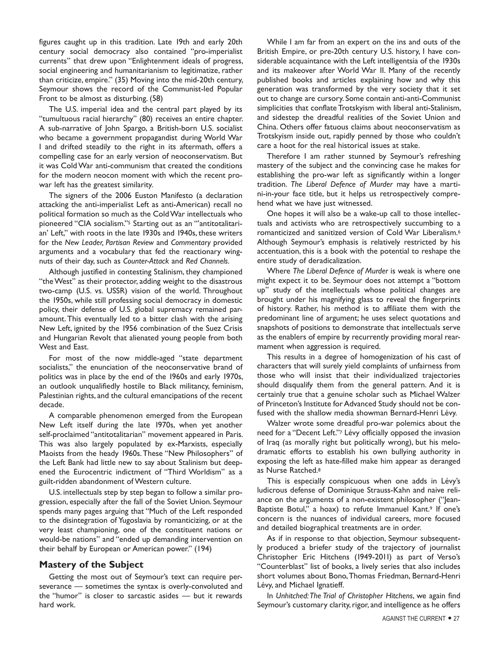figures caught up in this tradition. Late 19th and early 20th century social democracy also contained "pro-imperialist currents" that drew upon "Enlightenment ideals of progress, social engineering and humanitarianism to legitimatize, rather than criticize, empire." (35) Moving into the mid-20th century, Seymour shows the record of the Communist-led Popular Front to be almost as disturbing. (58)

The U.S. imperial idea and the central part played by its "tumultuous racial hierarchy" (80) receives an entire chapter. A sub-narrative of John Spargo, a British-born U.S. socialist who became a government propagandist during World War I and drifted steadily to the right in its aftermath, offers a compelling case for an early version of neoconservatism. But it was Cold War anti-communism that created the conditions for the modern neocon moment with which the recent prowar left has the greatest similarity.

The signers of the 2006 Euston Manifesto (a declaration attacking the anti-imperialist Left as anti-American) recall no political formation so much as the Cold War intellectuals who pioneered "CIA socialism."5 Starting out as an "'antitotalitarian' Left," with roots in the late 1930s and 1940s, these writers for the *New Leader, Partisan Review* and *Commentary* provided arguments and a vocabulary that fed the reactionary wingnuts of their day, such as *Counter-Attack* and *Red Channels.*

Although justified in contesting Stalinism, they championed "the West" as their protector, adding weight to the disastrous two-camp (U.S. vs. USSR) vision of the world. Throughout the 1950s, while still professing social democracy in domestic policy, their defense of U.S. global supremacy remained paramount. This eventually led to a bitter clash with the arising New Left, ignited by the 1956 combination of the Suez Crisis and Hungarian Revolt that alienated young people from both West and East.

For most of the now middle-aged "state department socialists," the enunciation of the neoconservative brand of politics was in place by the end of the 1960s and early 1970s, an outlook unqualifiedly hostile to Black militancy, feminism, Palestinian rights, and the cultural emancipations of the recent decade.

A comparable phenomenon emerged from the European New Left itself during the late 1970s, when yet another self-proclaimed "antitotalitarian" movement appeared in Paris. This was also largely populated by ex-Marxists, especially Maoists from the heady 1960s. These "New Philosophers" of the Left Bank had little new to say about Stalinism but deepened the Eurocentric indictment of "Third Worldism" as a guilt-ridden abandonment of Western culture.

U.S. intellectuals step by step began to follow a similar progression, especially after the fall of the Soviet Union. Seymour spends many pages arguing that "Much of the Left responded to the disintegration of Yugoslavia by romanticizing, or at the very least championing, one of the constituent nations or would-be nations" and "ended up demanding intervention on their behalf by European or American power." (194)

#### **Mastery of the Subject**

Getting the most out of Seymour's text can require perseverance — sometimes the syntax is overly-convoluted and the "humor" is closer to sarcastic asides — but it rewards hard work.

While I am far from an expert on the ins and outs of the British Empire, or pre-20th century U.S. history, I have considerable acquaintance with the Left intelligentsia of the 1930s and its makeover after World War II. Many of the recently published books and articles explaining how and why this generation was transformed by the very society that it set out to change are cursory. Some contain anti-anti-Communist simplicities that conflate Trotskyism with liberal anti-Stalinism, and sidestep the dreadful realities of the Soviet Union and China. Others offer fatuous claims about neoconservatism as Trotskyism inside out, rapidly penned by those who couldn't care a hoot for the real historical issues at stake.

Therefore I am rather stunned by Seymour's refreshing mastery of the subject and the convincing case he makes for establishing the pro-war left as significantly within a longer tradition. *The Liberal Defence of Murder* may have a martini-in-your face title, but it helps us retrospectively comprehend what we have just witnessed.

One hopes it will also be a wake-up call to those intellectuals and activists who are retrospectively succumbing to a romanticized and sanitized version of Cold War Liberalism.6 Although Seymour's emphasis is relatively restricted by his accentuation, this is a book with the potential to reshape the entire study of deradicalization.

Where *The Liberal Defence of Murder* is weak is where one might expect it to be. Seymour does not attempt a "bottom up" study of the intellectuals whose political changes are brought under his magnifying glass to reveal the fingerprints of history. Rather, his method is to affiliate them with the predominant line of argument; he uses select quotations and snapshots of positions to demonstrate that intellectuals serve as the enablers of empire by recurrently providing moral rearmament when aggression is required.

This results in a degree of homogenization of his cast of characters that will surely yield complaints of unfairness from those who will insist that their individualized trajectories should disqualify them from the general pattern. And it is certainly true that a genuine scholar such as Michael Walzer of Princeton's Institute for Advanced Study should not be confused with the shallow media showman Bernard-Henri Lévy.

Walzer wrote some dreadful pro-war polemics about the need for a "Decent Left."7 Lévy officially opposed the invasion of Iraq (as morally right but politically wrong), but his melodramatic efforts to establish his own bullying authority in exposing the left as hate-filled make him appear as deranged as Nurse Ratched.8

This is especially conspicuous when one adds in Lévy's ludicrous defense of Dominique Strauss-Kahn and naive reliance on the arguments of a non-existent philosopher ("Jean-Baptiste Botul," a hoax) to refute Immanuel Kant.<sup>9</sup> If one's concern is the nuances of individual careers, more focused and detailed biographical treatments are in order.

As if in response to that objection, Seymour subsequently produced a briefer study of the trajectory of journalist Christopher Eric Hitchens (1949-2011) as part of Verso's "Counterblast" list of books, a lively series that also includes short volumes about Bono, Thomas Friedman, Bernard-Henri Lévy, and Michael Ignatieff.

In *Unhitched: The Trial of Christopher Hitchens*, we again find Seymour's customary clarity, rigor, and intelligence as he offers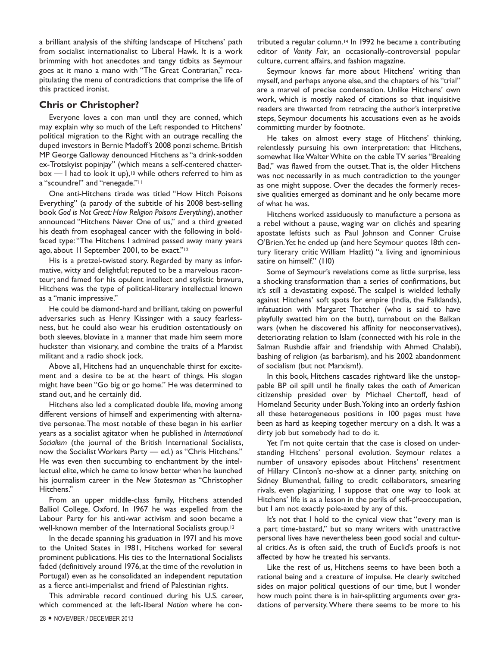a brilliant analysis of the shifting landscape of Hitchens' path from socialist internationalist to Liberal Hawk. It is a work brimming with hot anecdotes and tangy tidbits as Seymour goes at it mano a mano with "The Great Contrarian," recapitulating the menu of contradictions that comprise the life of this practiced ironist.

#### **Chris or Christopher?**

Everyone loves a con man until they are conned, which may explain why so much of the Left responded to Hitchens' political migration to the Right with an outrage recalling the duped investors in Bernie Madoff's 2008 ponzi scheme. British MP George Galloway denounced Hitchens as "a drink-sodden ex-Trotskyist popinjay" (which means a self-centered chatter $box - 1$  had to look it up),<sup>10</sup> while others referred to him as a "scoundrel" and "renegade."11

One anti-Hitchens tirade was titled "How Hitch Poisons Everything" (a parody of the subtitle of his 2008 best-selling book *God is Not Great: How Religion Poisons Everything*), another announced "Hitchens Never One of us," and a third greeted his death from esophageal cancer with the following in boldfaced type: "The Hitchens I admired passed away many years ago, about 11 September 2001, to be exact."12

His is a pretzel-twisted story. Regarded by many as informative, witty and delightful; reputed to be a marvelous raconteur; and famed for his opulent intellect and stylistic bravura, Hitchens was the type of political-literary intellectual known as a "manic impressive."

He could be diamond-hard and brilliant, taking on powerful adversaries such as Henry Kissinger with a saucy fearlessness, but he could also wear his erudition ostentatiously on both sleeves, bloviate in a manner that made him seem more huckster than visionary, and combine the traits of a Marxist militant and a radio shock jock.

Above all, Hitchens had an unquenchable thirst for excitement and a desire to be at the heart of things. His slogan might have been "Go big or go home." He was determined to stand out, and he certainly did.

Hitchens also led a complicated double life, moving among different versions of himself and experimenting with alternative personae. The most notable of these began in his earlier years as a socialist agitator when he published in *International Socialism* (the journal of the British International Socialists, now the Socialist Workers Party — ed.) as "Chris Hitchens." He was even then succumbing to enchantment by the intellectual elite, which he came to know better when he launched his journalism career in the *New Statesman* as "Christopher Hitchens."

From an upper middle-class family, Hitchens attended Balliol College, Oxford. In 1967 he was expelled from the Labour Party for his anti-war activism and soon became a well-known member of the International Socialists group.13

In the decade spanning his graduation in 1971 and his move to the United States in 1981, Hitchens worked for several prominent publications. His ties to the International Socialists faded (definitively around 1976, at the time of the revolution in Portugal) even as he consolidated an independent reputation as a fierce anti-imperialist and friend of Palestinian rights.

This admirable record continued during his U.S. career, which commenced at the left-liberal *Nation* where he contributed a regular column.14 In 1992 he became a contributing editor of *Vanity Fair*, an occasionally-controversial popular culture, current affairs, and fashion magazine.

Seymour knows far more about Hitchens' writing than myself, and perhaps anyone else, and the chapters of his "trial" are a marvel of precise condensation. Unlike Hitchens' own work, which is mostly naked of citations so that inquisitive readers are thwarted from retracing the author's interpretive steps, Seymour documents his accusations even as he avoids committing murder by footnote.

He takes on almost every stage of Hitchens' thinking, relentlessly pursuing his own interpretation: that Hitchens, somewhat like Walter White on the cable TV series "Breaking Bad," was flawed from the outset. That is, the older Hitchens was not necessarily in as much contradiction to the younger as one might suppose. Over the decades the formerly recessive qualities emerged as dominant and he only became more of what he was.

Hitchens worked assiduously to manufacture a persona as a rebel without a pause, waging war on clichés and spearing apostate leftists such as Paul Johnson and Conner Cruise O'Brien. Yet he ended up (and here Seymour quotes 18th century literary critic William Hazlitt) "a living and ignominious satire on himself." (110)

Some of Seymour's revelations come as little surprise, less a shocking transformation than a series of confirmations, but it's still a devastating exposé. The scalpel is wielded lethally against Hitchens' soft spots for empire (India, the Falklands), infatuation with Margaret Thatcher (who is said to have playfully swatted him on the butt), turnabout on the Balkan wars (when he discovered his affinity for neoconservatives), deteriorating relation to Islam (connected with his role in the Salman Rushdie affair and friendship with Ahmed Chalabi), bashing of religion (as barbarism), and his 2002 abandonment of socialism (but not Marxism!).

In this book, Hitchens cascades rightward like the unstoppable BP oil spill until he finally takes the oath of American citizenship presided over by Michael Chertoff, head of Homeland Security under Bush. Yoking into an orderly fashion all these heterogeneous positions in 100 pages must have been as hard as keeping together mercury on a dish. It was a dirty job but somebody had to do it.

Yet I'm not quite certain that the case is closed on understanding Hitchens' personal evolution. Seymour relates a number of unsavory episodes about Hitchens' resentment of Hillary Clinton's no-show at a dinner party, snitching on Sidney Blumenthal, failing to credit collaborators, smearing rivals, even plagiarizing. I suppose that one way to look at Hitchens' life is as a lesson in the perils of self-preoccupation, but I am not exactly pole-axed by any of this.

It's not that I hold to the cynical view that "every man is a part time-bastard," but so many writers with unattractive personal lives have nevertheless been good social and cultural critics. As is often said, the truth of Euclid's proofs is not affected by how he treated his servants.

Like the rest of us, Hitchens seems to have been both a rational being and a creature of impulse. He clearly switched sides on major political questions of our time, but I wonder how much point there is in hair-splitting arguments over gradations of perversity. Where there seems to be more to his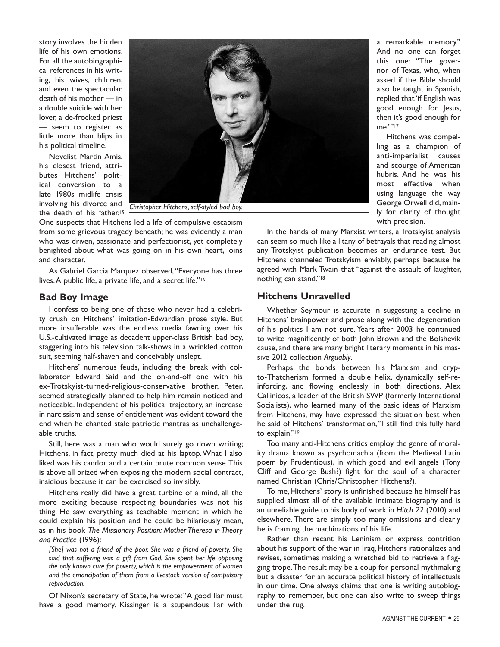story involves the hidden life of his own emotions. For all the autobiographical references in his writing, his wives, children, and even the spectacular death of his mother — in a double suicide with her lover, a de-frocked priest — seem to register as little more than blips in his political timeline.

Novelist Martin Amis, his closest friend, attributes Hitchens' political conversion to a late 1980s midlife crisis involving his divorce and the death of his father.<sup>15</sup>



One suspects that Hitchens led a life of compulsive escapism from some grievous tragedy beneath; he was evidently a man who was driven, passionate and perfectionist, yet completely benighted about what was going on in his own heart, loins and character.

As Gabriel Garcia Marquez observed, "Everyone has three lives. A public life, a private life, and a secret life."16

#### **Bad Boy Image**

I confess to being one of those who never had a celebrity crush on Hitchens' imitation-Edwardian prose style. But more insufferable was the endless media fawning over his U.S.-cultivated image as decadent upper-class British bad boy, staggering into his television talk-shows in a wrinkled cotton suit, seeming half-shaven and conceivably unslept.

Hitchens' numerous feuds, including the break with collaborator Edward Said and the on-and-off one with his ex-Trotskyist-turned-religious-conservative brother, Peter, seemed strategically planned to help him remain noticed and noticeable. Independent of his political trajectory, an increase in narcissism and sense of entitlement was evident toward the end when he chanted stale patriotic mantras as unchallengeable truths.

Still, here was a man who would surely go down writing; Hitchens, in fact, pretty much died at his laptop. What I also liked was his candor and a certain brute common sense. This is above all prized when exposing the modern social contract, insidious because it can be exercised so invisibly.

Hitchens really did have a great turbine of a mind, all the more exciting because respecting boundaries was not his thing. He saw everything as teachable moment in which he could explain his position and he could be hilariously mean, as in his book *The Missionary Position: Mother Theresa in Theory and Practice* (1996):

*[She] was not a friend of the poor. She was a friend of poverty. She said that suffering was a gift from God. She spent her life opposing the only known cure for poverty, which is the empowerment of women and the emancipation of them from a livestock version of compulsory reproduction.*

Of Nixon's secretary of State, he wrote: "A good liar must have a good memory. Kissinger is a stupendous liar with

a remarkable memory." And no one can forget this one: "The governor of Texas, who, when asked if the Bible should also be taught in Spanish, replied that 'if English was good enough for Jesus, then it's good enough for me.'"17

Hitchens was compelling as a champion of anti-imperialist causes and scourge of American hubris. And he was his most effective when using language the way George Orwell did, mainly for clarity of thought with precision.

In the hands of many Marxist writers, a Trotskyist analysis can seem so much like a litany of betrayals that reading almost any Trotskyist publication becomes an endurance test. But Hitchens channeled Trotskyism enviably, perhaps because he agreed with Mark Twain that "against the assault of laughter, nothing can stand."18

# **Hitchens Unravelled**

Whether Seymour is accurate in suggesting a decline in Hitchens' brainpower and prose along with the degeneration of his politics I am not sure. Years after 2003 he continued to write magnificently of both John Brown and the Bolshevik cause, and there are many bright literary moments in his massive 2012 collection *Arguably*.

Perhaps the bonds between his Marxism and crypto-Thatcherism formed a double helix, dynamically self-reinforcing, and flowing endlessly in both directions. Alex Callinicos, a leader of the British SWP (formerly International Socialists), who learned many of the basic ideas of Marxism from Hitchens, may have expressed the situation best when he said of Hitchens' transformation, "I still find this fully hard to explain."19

Too many anti-Hitchens critics employ the genre of morality drama known as psychomachia (from the Medieval Latin poem by Prudentious), in which good and evil angels (Tony Cliff and George Bush?) fight for the soul of a character named Christian (Chris/Christopher Hitchens?).

To me, Hitchens' story is unfinished because he himself has supplied almost all of the available intimate biography and is an unreliable guide to his body of work in *Hitch 22* (2010) and elsewhere. There are simply too many omissions and clearly he is framing the machinations of his life.

Rather than recant his Leninism or express contrition about his support of the war in Iraq, Hitchens rationalizes and revises, sometimes making a wretched bid to retrieve a flagging trope. The result may be a coup for personal mythmaking but a disaster for an accurate political history of intellectuals in our time. One always claims that one is writing autobiography to remember, but one can also write to sweep things under the rug.